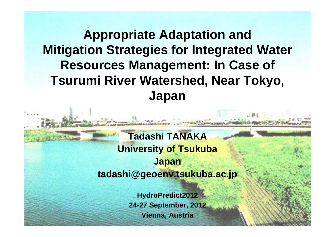### **Appropriate Adaptation and Mitigation Strategies for Integrated Water Resources Management: In Case of Tsurumi River Watershed, Near Tokyo, Japan**

**Tadashi TANAKA University of Tsukuba Japan tadashi@geoenv.tsukuba.ac.jp**

> **HydroPredict2012 24-27 September, 2012 Vienna, Austria**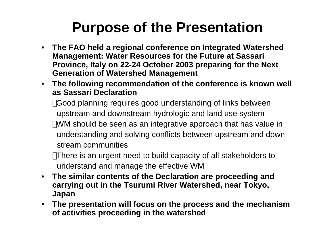## **Purpose of the Presentation**

- **The FAO held a regional conference on Integrated Watershed Management: Water Resources for the Future at Sassari Province, Italy on 22-24 October 2003 preparing for the Next Gener ation of Watershed Management**
- **The following recommendation of the conference is known well as Sassari Declaration**

Good planning requires good understanding of links between upstream and downstream hydrologic and land use system WM should be seen as an integrative approach that has value in understanding and solving conflicts between upstream and down stream communities

There is an urgent need to build capacity of all stakeholders to understand and manage the effective WM

- **The similar contents of the Declaration are proceeding and carrying out in the Tsurumi River Watershed, near Tokyo, Japan**
- **The presentation will focus on the process and the mechanism of activities proceeding in the watershed**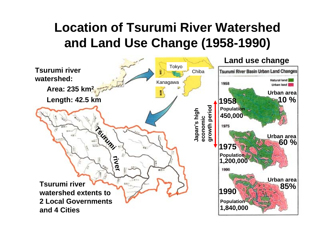## **Location of Tsurumi River Watershed and Land Use Change (1958-1990)**

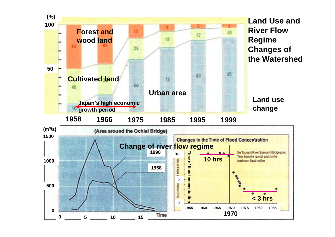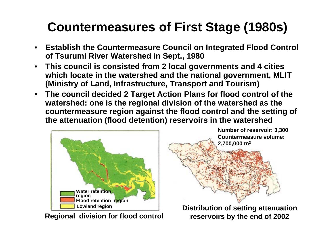## **Countermeasures of First Stage (1980s)**

- **Establish the Countermeasure Council on Integrated Flood Control of Tsurumi River Watershed in Sept., 1980**
- • **This council is consisted from 2 local governments and 4 cities which locate in the watershed and the national government, MLIT (Ministry of Land, Infrastructure, Transport and Tourism)**
- • **The council decided 2 Target Action Plans for flood control of the watershed: one is the regional division of the watershed as the countermeasure region against the flood control and the setting of the attenuation (flood detention) reservoirs in the watershed**



**Regional division for flood control**

**Countermeasure volume: 2,700,000 m3 Number of reservoir: 3,300**

**Distribution of setting attenuation reservoirs by the end of 2002**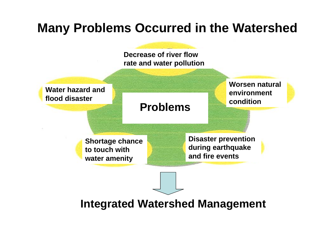### **Many Problems Occurred in the Watershed**

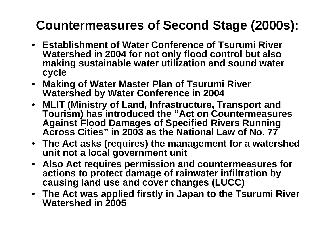## **Countermeasures of Second Stage (2000s):**

- **Establishment of Water Conference of Tsurumi River Watershed in 2004 for not only flood control but also making sustainable water utilization and sound water cycle**
- • **Making of Water Master Plan of Tsurumi River Watershed by Water Conference in 2004**
- **MLIT (Ministry of Land, Infrastructure, Transport and Tourism) has introduced the "Act on Countermeasures Against Flood Damages of Specified Rivers Running Across Cities" in 2003 as the National Law of No. 77**
- **The Act asks (requires) the management for a watershed unit not a local government unit**
- **Also Act requires permission and countermeasures for actions to protect damage of rainwater infiltration by causing land use and cover changes (LUCC)**
- **The Act was applied firstly in Japan to the Tsurumi River Watershed in 2005**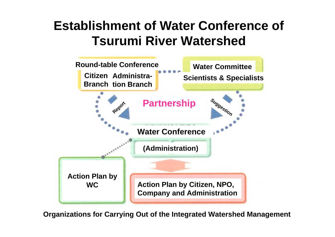#### **Establishment of Water Conference of Tsurumi River Watershed**



**Organizations for Carrying Out of the Integrated Watershed Management**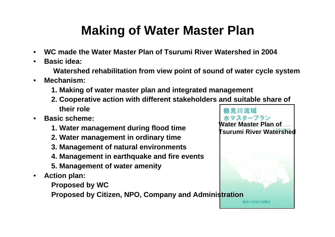## **Making of Water Master Plan**

- •**WC made the Water Master Plan of Tsurumi River Watershed in 2004**
- •**Basic idea:**

**Watershed rehabilitation from view point of sound of water cycle system**

- • **Mechanism:**
	- **1. Making of water master plan and integrated management**
	- **2. Cooperative action with different stakeholders and suitable share of their role**
- • **Basic scheme:**
	- **1. Water management during flood time**
	- **2. Water management in ordinary time**
	- **3. Management of natural environments**
	- **4. Management in earthquake and fire events**
	- **5. Management of water amenity**
- • **Action plan:**
	- **Proposed by WC**

**Proposed by Citizen, NPO, Company and Administration**

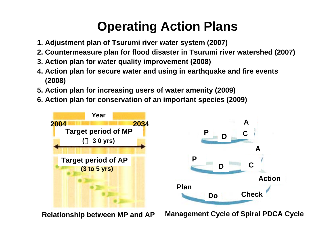## **Operating Action Plans**

- **1. Adjustment plan of Tsurumi river water system (2007)**
- **2. Countermeasure plan for flood disaster in Tsurumi river watershed (2007)**
- **3. Action plan for water quality improvement (2008)**
- **4. Action plan for secure water and using in earthquake and fire events (2008)**
- **5. Action plan for increasing users of water amenity (2009)**
- **6. Action plan for conservation of an important species (2009)**



**Relationship between MP and AP**

**Management Cycle of Spiral PDCA Cycl e**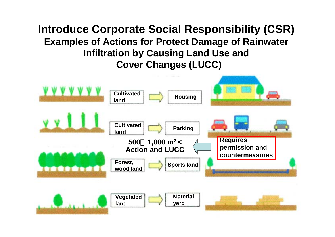**Introduce Corporate Social Responsibility (CSR) Examples of Actions for Protect Damage of Rainwater Infiltration by Causing Land Use and Cover Changes (LUCC)**

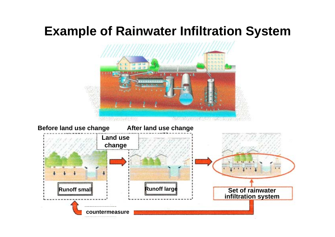#### **Example of Rainwater Infiltration System**

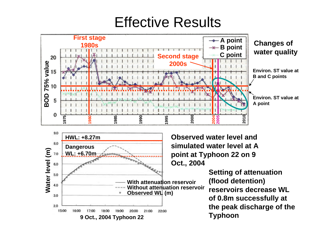## Effective Results





**Observed water level and simulated water level at A point at Typhoon 22 on 9 Oct., 2004**

> **Setting of attenuation (flood detention) reservoirs decrease WL of 0.8m successfully at the peak discharge of the Typhoon**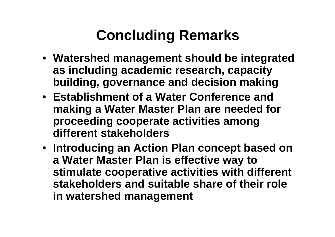# **Concluding Remarks**

- **Watershed management should be integrated as including academic research, capacity building, governance and decision making**
- **Establishment of a Water Conference and making a Water Master Plan are needed for proceeding cooperate activities among different stakeholders**
- **Introducing an Action Plan concept based on a Water Master Plan is effective way to stimulate cooperative activities with different stakeholders and suitable share of their role in watershed management**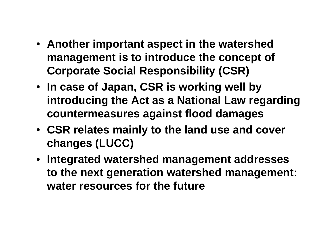- **Another important aspect in the watershed management is to introduce the concept of Corporate Social Responsibility (CSR)**
- **In case of Japan, CSR is working well by introducing the Act as a National Law regarding countermeasures against flood damages**
- **CSR relates mainly to the land use and cover changes (LUCC)**
- **Integrated watershed management addresses to the next generation watershed management: water resources for the future**